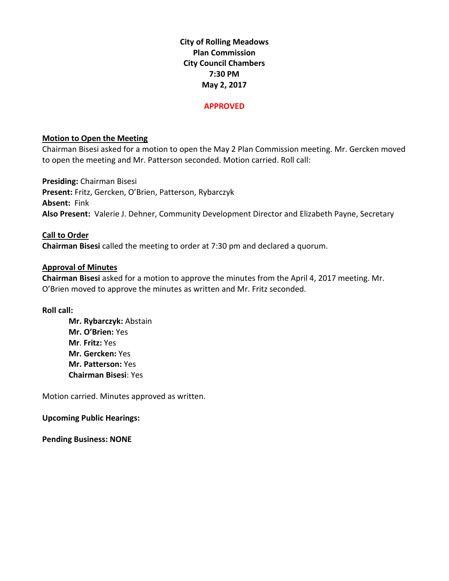**City of Rolling Meadows Plan Commission City Council Chambers 7:30 PM May 2, 2017**

#### **APPROVED**

# **Motion to Open the Meeting**

Chairman Bisesi asked for a motion to open the May 2 Plan Commission meeting. Mr. Gercken moved to open the meeting and Mr. Patterson seconded. Motion carried. Roll call:

**Presiding:** Chairman Bisesi **Present:** Fritz, Gercken, O'Brien, Patterson, Rybarczyk **Absent:** Fink **Also Present:** Valerie J. Dehner, Community Development Director and Elizabeth Payne, Secretary

# **Call to Order Chairman Bisesi** called the meeting to order at 7:30 pm and declared a quorum.

### **Approval of Minutes**

**Chairman Bisesi** asked for a motion to approve the minutes from the April 4, 2017 meeting. Mr. O'Brien moved to approve the minutes as written and Mr. Fritz seconded.

### **Roll call:**

**Mr. Rybarczyk:** Abstain **Mr. O'Brien:** Yes **Mr**. **Fritz:** Yes **Mr. Gercken:** Yes **Mr. Patterson:** Yes **Chairman Bisesi**: Yes

Motion carried. Minutes approved as written.

**Upcoming Public Hearings:**

**Pending Business: NONE**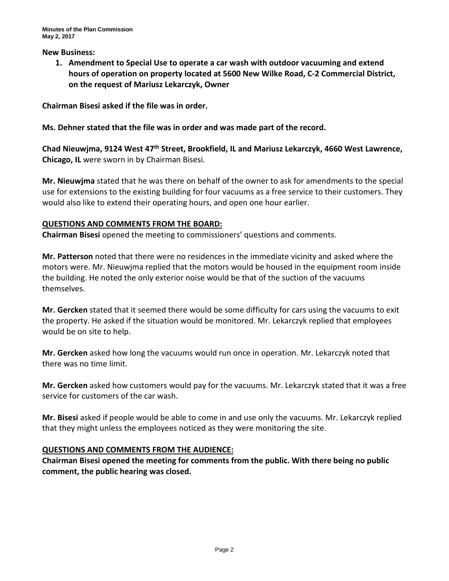### **New Business:**

**1. Amendment to Special Use to operate a car wash with outdoor vacuuming and extend hours of operation on property located at 5600 New Wilke Road, C-2 Commercial District, on the request of Mariusz Lekarczyk, Owner**

**Chairman Bisesi asked if the file was in order.**

**Ms. Dehner stated that the file was in order and was made part of the record.**

**Chad Nieuwjma, 9124 West 47th Street, Brookfield, IL and Mariusz Lekarczyk, 4660 West Lawrence, Chicago, IL** were sworn in by Chairman Bisesi.

**Mr. Nieuwjma** stated that he was there on behalf of the owner to ask for amendments to the special use for extensions to the existing building for four vacuums as a free service to their customers. They would also like to extend their operating hours, and open one hour earlier.

# **QUESTIONS AND COMMENTS FROM THE BOARD:**

**Chairman Bisesi** opened the meeting to commissioners' questions and comments.

**Mr. Patterson** noted that there were no residences in the immediate vicinity and asked where the motors were. Mr. Nieuwjma replied that the motors would be housed in the equipment room inside the building. He noted the only exterior noise would be that of the suction of the vacuums themselves.

**Mr. Gercken** stated that it seemed there would be some difficulty for cars using the vacuums to exit the property. He asked if the situation would be monitored. Mr. Lekarczyk replied that employees would be on site to help.

**Mr. Gercken** asked how long the vacuums would run once in operation. Mr. Lekarczyk noted that there was no time limit.

**Mr. Gercken** asked how customers would pay for the vacuums. Mr. Lekarczyk stated that it was a free service for customers of the car wash.

**Mr. Bisesi** asked if people would be able to come in and use only the vacuums. Mr. Lekarczyk replied that they might unless the employees noticed as they were monitoring the site.

# **QUESTIONS AND COMMENTS FROM THE AUDIENCE:**

**Chairman Bisesi opened the meeting for comments from the public. With there being no public comment, the public hearing was closed.**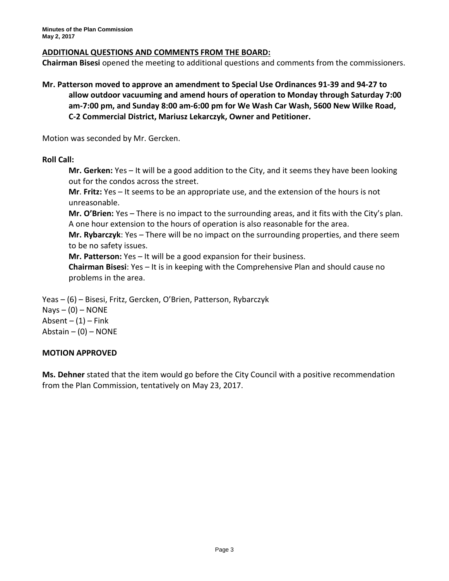# **ADDITIONAL QUESTIONS AND COMMENTS FROM THE BOARD:**

**Chairman Bisesi** opened the meeting to additional questions and comments from the commissioners.

**Mr. Patterson moved to approve an amendment to Special Use Ordinances 91-39 and 94-27 to allow outdoor vacuuming and amend hours of operation to Monday through Saturday 7:00 am-7:00 pm, and Sunday 8:00 am-6:00 pm for We Wash Car Wash, 5600 New Wilke Road, C-2 Commercial District, Mariusz Lekarczyk, Owner and Petitioner.**

Motion was seconded by Mr. Gercken.

### **Roll Call:**

**Mr. Gerken:** Yes – It will be a good addition to the City, and it seems they have been looking out for the condos across the street.

**Mr**. **Fritz:** Yes – It seems to be an appropriate use, and the extension of the hours is not unreasonable.

**Mr. O'Brien:** Yes – There is no impact to the surrounding areas, and it fits with the City's plan. A one hour extension to the hours of operation is also reasonable for the area.

**Mr. Rybarczyk**: Yes – There will be no impact on the surrounding properties, and there seem to be no safety issues.

**Mr. Patterson:** Yes – It will be a good expansion for their business.

**Chairman Bisesi**: Yes – It is in keeping with the Comprehensive Plan and should cause no problems in the area.

Yeas – (6) – Bisesi, Fritz, Gercken, O'Brien, Patterson, Rybarczyk  $Nays - (0) - NONE$ Absent  $- (1)$  – Fink Abstain  $-$  (0)  $-$  NONE

### **MOTION APPROVED**

**Ms. Dehner** stated that the item would go before the City Council with a positive recommendation from the Plan Commission, tentatively on May 23, 2017.